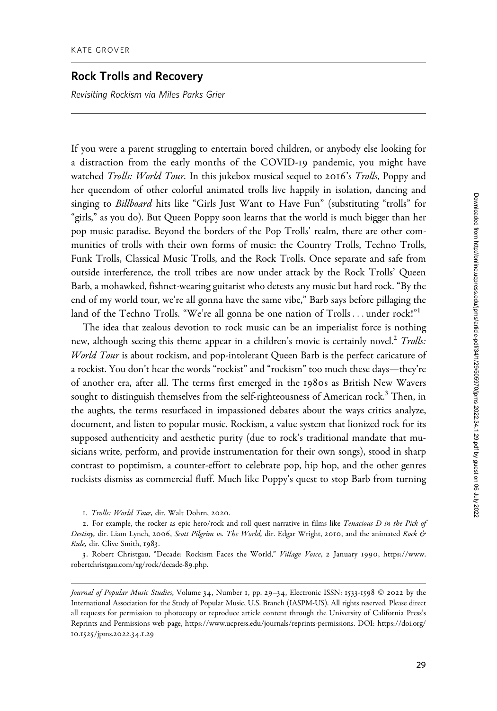## Rock Trolls and Recovery

Revisiting Rockism via Miles Parks Grier

If you were a parent struggling to entertain bored children, or anybody else looking for a distraction from the early months of the COVID-19 pandemic, you might have watched *Trolls: World Tour*. In this jukebox musical sequel to 2016's *Trolls*, Poppy and her queendom of other colorful animated trolls live happily in isolation, dancing and singing to Billboard hits like "Girls Just Want to Have Fun" (substituting "trolls" for "girls," as you do). But Queen Poppy soon learns that the world is much bigger than her pop music paradise. Beyond the borders of the Pop Trolls' realm, there are other communities of trolls with their own forms of music: the Country Trolls, Techno Trolls, Funk Trolls, Classical Music Trolls, and the Rock Trolls. Once separate and safe from outside interference, the troll tribes are now under attack by the Rock Trolls' Queen Barb, a mohawked, fishnet-wearing guitarist who detests any music but hard rock. "By the end of my world tour, we're all gonna have the same vibe," Barb says before pillaging the land of the Techno Trolls. "We're all gonna be one nation of Trolls ... under rock!"<sup>1</sup>

The idea that zealous devotion to rock music can be an imperialist force is nothing new, although seeing this theme appear in a children's movie is certainly novel.<sup>2</sup> Trolls: World Tour is about rockism, and pop-intolerant Queen Barb is the perfect caricature of a rockist. You don't hear the words "rockist" and "rockism" too much these days—they're of another era, after all. The terms first emerged in the 1980s as British New Wavers sought to distinguish themselves from the self-righteousness of American rock.<sup>3</sup> Then, in the aughts, the terms resurfaced in impassioned debates about the ways critics analyze, document, and listen to popular music. Rockism, a value system that lionized rock for its supposed authenticity and aesthetic purity (due to rock's traditional mandate that musicians write, perform, and provide instrumentation for their own songs), stood in sharp contrast to poptimism, a counter-effort to celebrate pop, hip hop, and the other genres rockists dismiss as commercial fluff. Much like Poppy's quest to stop Barb from turning

1. Trolls: World Tour, dir. Walt Dohrn, 2020.

2. For example, the rocker as epic hero/rock and roll quest narrative in films like Tenacious D in the Pick of Destiny, dir. Liam Lynch, 2006, Scott Pilgrim vs. The World, dir. Edgar Wright, 2010, and the animated Rock & Rule, dir. Clive Smith, 1983.

3. Robert Christgau, "Decade: Rockism Faces the World," Village Voice, 2 January 1990, [https://www.](https://www.robertchristgau.com/xg/rock/decade-89.php) [robertchristgau.com/xg/rock/decade-](https://www.robertchristgau.com/xg/rock/decade-89.php)89.php.

Journal of Popular Music Studies, Volume 34, Number 1, pp. 29-34, Electronic ISSN: 1533-1598 © 2022 by the International Association for the Study of Popular Music, U.S. Branch (IASPM-US). All rights reserved. Please direct all requests for permission to photocopy or reproduce article content through the University of California Press's Reprints and Permissions web page, [https://www.ucpress.edu/journals/reprints-permissions.](https://www.ucpress.edu/journals/reprints-permissions) [DOI: https://doi.org/](https://doi.org/10.1525/jpms.2022.34.1.29) 10.1525[/jpms.](https://doi.org/10.1525/jpms.2022.34.1.29)2022.34.1.29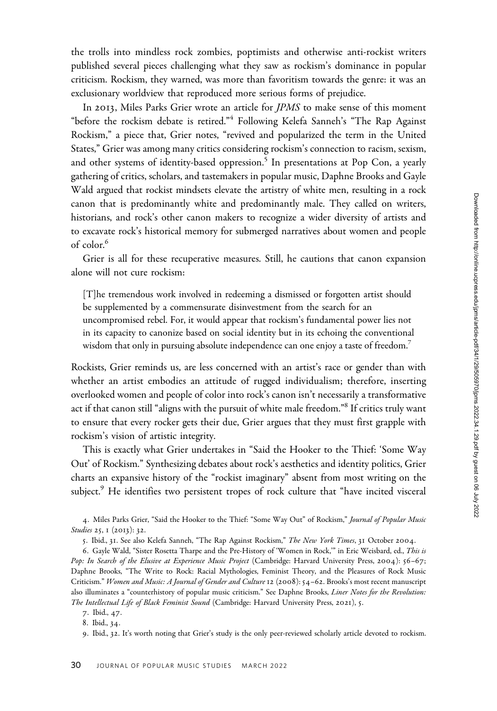the trolls into mindless rock zombies, poptimists and otherwise anti-rockist writers published several pieces challenging what they saw as rockism's dominance in popular criticism. Rockism, they warned, was more than favoritism towards the genre: it was an exclusionary worldview that reproduced more serious forms of prejudice.

In 2013, Miles Parks Grier wrote an article for JPMS to make sense of this moment "before the rockism debate is retired."<sup>4</sup> Following Kelefa Sanneh's "The Rap Against Rockism," a piece that, Grier notes, "revived and popularized the term in the United States," Grier was among many critics considering rockism's connection to racism, sexism, and other systems of identity-based oppression.<sup>5</sup> In presentations at Pop Con, a yearly gathering of critics, scholars, and tastemakers in popular music, Daphne Brooks and Gayle Wald argued that rockist mindsets elevate the artistry of white men, resulting in a rock canon that is predominantly white and predominantly male. They called on writers, historians, and rock's other canon makers to recognize a wider diversity of artists and to excavate rock's historical memory for submerged narratives about women and people of color.<sup>6</sup>

Grier is all for these recuperative measures. Still, he cautions that canon expansion alone will not cure rockism:

[T]he tremendous work involved in redeeming a dismissed or forgotten artist should be supplemented by a commensurate disinvestment from the search for an uncompromised rebel. For, it would appear that rockism's fundamental power lies not in its capacity to canonize based on social identity but in its echoing the conventional wisdom that only in pursuing absolute independence can one enjoy a taste of freedom.<sup>7</sup>

Rockists, Grier reminds us, are less concerned with an artist's race or gender than with whether an artist embodies an attitude of rugged individualism; therefore, inserting overlooked women and people of color into rock's canon isn't necessarily a transformative act if that canon still "aligns with the pursuit of white male freedom."8 If critics truly want to ensure that every rocker gets their due, Grier argues that they must first grapple with rockism's vision of artistic integrity.

This is exactly what Grier undertakes in "Said the Hooker to the Thief: 'Some Way Out' of Rockism." Synthesizing debates about rock's aesthetics and identity politics, Grier charts an expansive history of the "rockist imaginary" absent from most writing on the subject. $9$  He identifies two persistent tropes of rock culture that "have incited visceral

4. Miles Parks Grier, "Said the Hooker to the Thief: "Some Way Out" of Rockism," Journal of Popular Music Studies 25, 1 (2013): 32.

5. Ibid., 31. See also Kelefa Sanneh, "The Rap Against Rockism," The New York Times, 31 October 2004.

6. Gayle Wald, "Sister Rosetta Tharpe and the Pre-History of 'Women in Rock,'" in Eric Weisbard, ed., This is Pop: In Search of the Elusive at Experience Music Project (Cambridge: Harvard University Press, 2004): 56-67; Daphne Brooks, "The Write to Rock: Racial Mythologies, Feminist Theory, and the Pleasures of Rock Music Criticism." Women and Music: A Journal of Gender and Culture 12 (2008): 54-62. Brooks's most recent manuscript also illuminates a "counterhistory of popular music criticism." See Daphne Brooks, Liner Notes for the Revolution: The Intellectual Life of Black Feminist Sound (Cambridge: Harvard University Press, 2021), 5.

<sup>7</sup>. Ibid., 47.

<sup>8</sup>. Ibid., 34.

<sup>9</sup>. Ibid., 32. It's worth noting that Grier's study is the only peer-reviewed scholarly article devoted to rockism.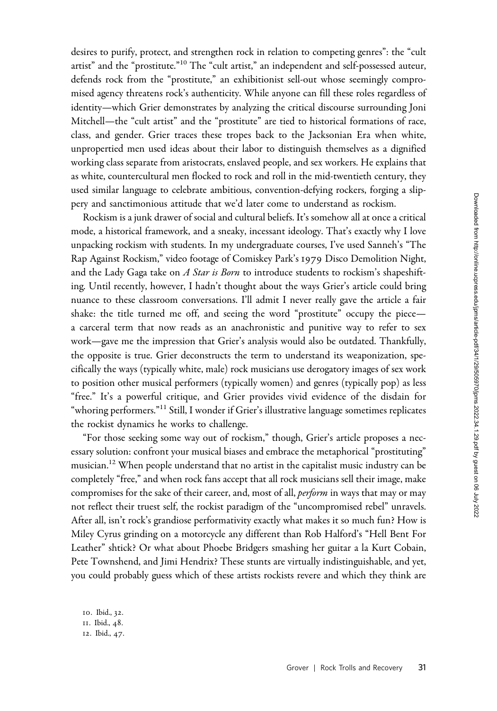desires to purify, protect, and strengthen rock in relation to competing genres": the "cult artist" and the "prostitute."<sup>10</sup> The "cult artist," an independent and self-possessed auteur, defends rock from the "prostitute," an exhibitionist sell-out whose seemingly compromised agency threatens rock's authenticity. While anyone can fill these roles regardless of identity—which Grier demonstrates by analyzing the critical discourse surrounding Joni Mitchell—the "cult artist" and the "prostitute" are tied to historical formations of race, class, and gender. Grier traces these tropes back to the Jacksonian Era when white, unpropertied men used ideas about their labor to distinguish themselves as a dignified working class separate from aristocrats, enslaved people, and sex workers. He explains that as white, countercultural men flocked to rock and roll in the mid-twentieth century, they used similar language to celebrate ambitious, convention-defying rockers, forging a slippery and sanctimonious attitude that we'd later come to understand as rockism.

Rockism is a junk drawer of social and cultural beliefs. It's somehow all at once a critical mode, a historical framework, and a sneaky, incessant ideology. That's exactly why I love unpacking rockism with students. In my undergraduate courses, I've used Sanneh's "The Rap Against Rockism," video footage of Comiskey Park's 1979 Disco Demolition Night, and the Lady Gaga take on  $A$  Star is Born to introduce students to rockism's shapeshifting. Until recently, however, I hadn't thought about the ways Grier's article could bring nuance to these classroom conversations. I'll admit I never really gave the article a fair shake: the title turned me off, and seeing the word "prostitute" occupy the piece a carceral term that now reads as an anachronistic and punitive way to refer to sex work—gave me the impression that Grier's analysis would also be outdated. Thankfully, the opposite is true. Grier deconstructs the term to understand its weaponization, specifically the ways (typically white, male) rock musicians use derogatory images of sex work to position other musical performers (typically women) and genres (typically pop) as less "free." It's a powerful critique, and Grier provides vivid evidence of the disdain for "whoring performers."<sup>11</sup> Still, I wonder if Grier's illustrative language sometimes replicates the rockist dynamics he works to challenge.

"For those seeking some way out of rockism," though, Grier's article proposes a necessary solution: confront your musical biases and embrace the metaphorical "prostituting" musician.<sup>12</sup> When people understand that no artist in the capitalist music industry can be completely "free," and when rock fans accept that all rock musicians sell their image, make compromises for the sake of their career, and, most of all, *perform* in ways that may or may not reflect their truest self, the rockist paradigm of the "uncompromised rebel" unravels. After all, isn't rock's grandiose performativity exactly what makes it so much fun? How is Miley Cyrus grinding on a motorcycle any different than Rob Halford's "Hell Bent For Leather" shtick? Or what about Phoebe Bridgers smashing her guitar a la Kurt Cobain, Pete Townshend, and Jimi Hendrix? These stunts are virtually indistinguishable, and yet, you could probably guess which of these artists rockists revere and which they think are

10. Ibid., 32. 11. Ibid., 48. 12. Ibid., 47.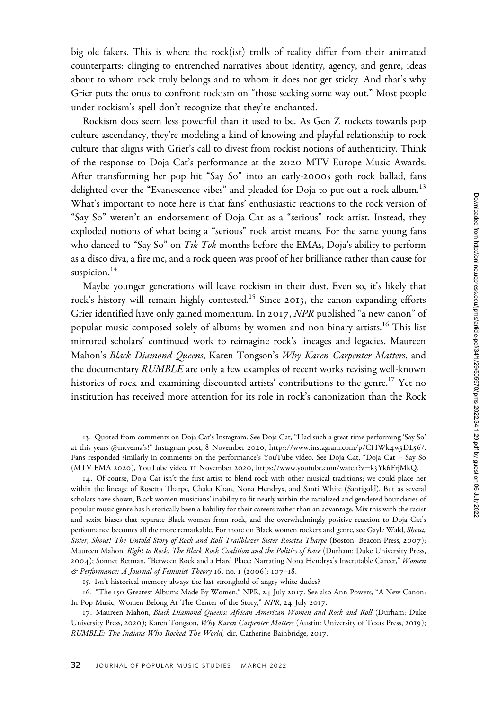big ole fakers. This is where the rock(ist) trolls of reality differ from their animated counterparts: clinging to entrenched narratives about identity, agency, and genre, ideas about to whom rock truly belongs and to whom it does not get sticky. And that's why Grier puts the onus to confront rockism on "those seeking some way out." Most people under rockism's spell don't recognize that they're enchanted.

Rockism does seem less powerful than it used to be. As Gen Z rockets towards pop culture ascendancy, they're modeling a kind of knowing and playful relationship to rock culture that aligns with Grier's call to divest from rockist notions of authenticity. Think of the response to Doja Cat's performance at the 2020 MTV Europe Music Awards. After transforming her pop hit "Say So" into an early-2000s goth rock ballad, fans delighted over the "Evanescence vibes" and pleaded for Doja to put out a rock album.<sup>13</sup> What's important to note here is that fans' enthusiastic reactions to the rock version of "Say So" weren't an endorsement of Doja Cat as a "serious" rock artist. Instead, they exploded notions of what being a "serious" rock artist means. For the same young fans who danced to "Say So" on Tik Tok months before the EMAs, Doja's ability to perform as a disco diva, a fire mc, and a rock queen was proof of her brilliance rather than cause for suspicion. $14$ 

Maybe younger generations will leave rockism in their dust. Even so, it's likely that rock's history will remain highly contested.<sup>15</sup> Since 2013, the canon expanding efforts Grier identified have only gained momentum. In 2017, NPR published "a new canon" of popular music composed solely of albums by women and non-binary artists.<sup>16</sup> This list mirrored scholars' continued work to reimagine rock's lineages and legacies. Maureen Mahon's Black Diamond Queens, Karen Tongson's Why Karen Carpenter Matters, and the documentary RUMBLE are only a few examples of recent works revising well-known histories of rock and examining discounted artists' contributions to the genre.<sup>17</sup> Yet no institution has received more attention for its role in rock's canonization than the Rock

13. Quoted from comments on Doja Cat's Instagram. See Doja Cat, "Had such a great time performing 'Say So' at this years @mtvema's!" Instagram post, 8 November 2020, [https://www.instagram.com/p/CHWk](https://www.instagram.com/p/CHWk4w3DL56/)4w3DL56/. Fans responded similarly in comments on the performance's YouTube video. See Doja Cat, "Doja Cat – Say So (MTV EMA 2020), YouTube video, 11 November 2020, [https://www.youtube.com/watch?v](https://www.youtube.com/watch?v=k3Yk6FrjMkQ)=k3Yk6[FrjMkQ.](https://www.youtube.com/watch?v=k3Yk6FrjMkQ)

14. Of course, Doja Cat isn't the first artist to blend rock with other musical traditions; we could place her within the lineage of Rosetta Tharpe, Chaka Khan, Nona Hendryx, and Santi White (Santigold). But as several scholars have shown, Black women musicians' inability to fit neatly within the racialized and gendered boundaries of popular music genre has historically been a liability for their careers rather than an advantage. Mix this with the racist and sexist biases that separate Black women from rock, and the overwhelmingly positive reaction to Doja Cat's performance becomes all the more remarkable. For more on Black women rockers and genre, see Gayle Wald, Shout, Sister, Shout! The Untold Story of Rock and Roll Trailblazer Sister Rosetta Tharpe (Boston: Beacon Press, 2007); Maureen Mahon, Right to Rock: The Black Rock Coalition and the Politics of Race (Durham: Duke University Press, 2004); Sonnet Retman, "Between Rock and a Hard Place: Narrating Nona Hendryx's Inscrutable Career," Women & Performance: A Journal of Feminist Theory 16, no. 1 (2006): 107–18.

15. Isn't historical memory always the last stronghold of angry white dudes?

16. "The 150 Greatest Albums Made By Women," NPR, 24 July 2017. See also Ann Powers, "A New Canon: In Pop Music, Women Belong At The Center of the Story," NPR, 24 July 2017.

17. Maureen Mahon, Black Diamond Queens: African American Women and Rock and Roll (Durham: Duke University Press, 2020); Karen Tongson, Why Karen Carpenter Matters (Austin: University of Texas Press, 2019); RUMBLE: The Indians Who Rocked The World, dir. Catherine Bainbridge, 2017.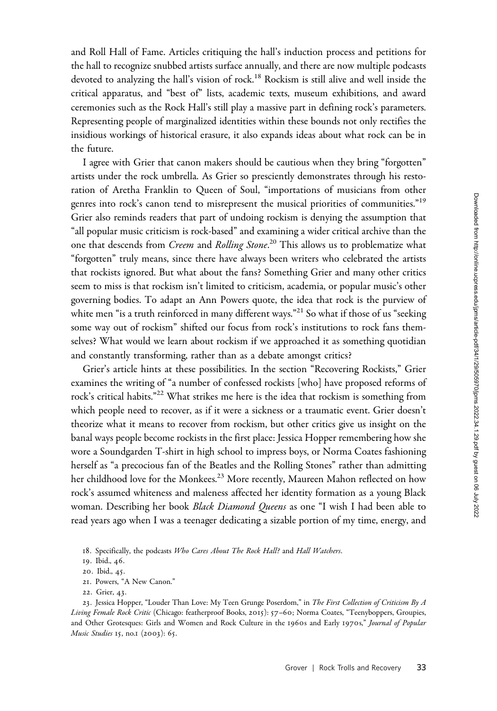and Roll Hall of Fame. Articles critiquing the hall's induction process and petitions for the hall to recognize snubbed artists surface annually, and there are now multiple podcasts devoted to analyzing the hall's vision of rock.<sup>18</sup> Rockism is still alive and well inside the critical apparatus, and "best of" lists, academic texts, museum exhibitions, and award ceremonies such as the Rock Hall's still play a massive part in defining rock's parameters. Representing people of marginalized identities within these bounds not only rectifies the insidious workings of historical erasure, it also expands ideas about what rock can be in the future.

I agree with Grier that canon makers should be cautious when they bring "forgotten" artists under the rock umbrella. As Grier so presciently demonstrates through his restoration of Aretha Franklin to Queen of Soul, "importations of musicians from other genres into rock's canon tend to misrepresent the musical priorities of communities."<sup>19</sup> Grier also reminds readers that part of undoing rockism is denying the assumption that "all popular music criticism is rock-based" and examining a wider critical archive than the one that descends from *Creem* and *Rolling Stone.* $^{20}$  This allows us to problematize what "forgotten" truly means, since there have always been writers who celebrated the artists that rockists ignored. But what about the fans? Something Grier and many other critics seem to miss is that rockism isn't limited to criticism, academia, or popular music's other governing bodies. To adapt an Ann Powers quote, the idea that rock is the purview of white men "is a truth reinforced in many different ways."<sup>21</sup> So what if those of us "seeking some way out of rockism" shifted our focus from rock's institutions to rock fans themselves? What would we learn about rockism if we approached it as something quotidian and constantly transforming, rather than as a debate amongst critics?

Grier's article hints at these possibilities. In the section "Recovering Rockists," Grier examines the writing of "a number of confessed rockists [who] have proposed reforms of rock's critical habits."<sup>22</sup> What strikes me here is the idea that rockism is something from which people need to recover, as if it were a sickness or a traumatic event. Grier doesn't theorize what it means to recover from rockism, but other critics give us insight on the banal ways people become rockists in the first place: Jessica Hopper remembering how she wore a Soundgarden T-shirt in high school to impress boys, or Norma Coates fashioning herself as "a precocious fan of the Beatles and the Rolling Stones" rather than admitting her childhood love for the Monkees.<sup>23</sup> More recently, Maureen Mahon reflected on how rock's assumed whiteness and maleness affected her identity formation as a young Black woman. Describing her book Black Diamond Queens as one "I wish I had been able to read years ago when I was a teenager dedicating a sizable portion of my time, energy, and

- 21. Powers, "A New Canon."
- 22. Grier, 43.

23. Jessica Hopper, "Louder Than Love: My Teen Grunge Poserdom," in The First Collection of Criticism By A Living Female Rock Critic (Chicago: featherproof Books, 2015): 57-60; Norma Coates, "Teenyboppers, Groupies, and Other Grotesques: Girls and Women and Rock Culture in the 1960s and Early 1970s," Journal of Popular Music Studies 15, no.1 (2003): 65.

<sup>18.</sup> Specifically, the podcasts Who Cares About The Rock Hall? and Hall Watchers.

<sup>19</sup>. Ibid., 46.

<sup>20</sup>. Ibid., 45.